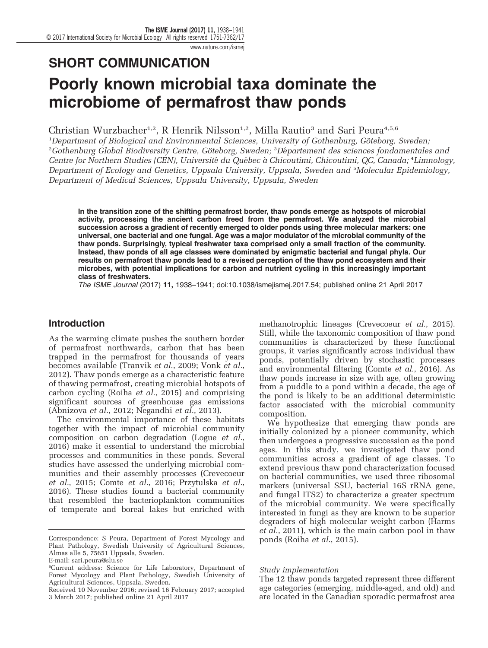# SHORT COMMUNICATION

## Poorly known microbial taxa dominate the microbiome of permafrost thaw ponds

Christian Wurzbacher<sup>1,2</sup>, R Henrik Nilsson<sup>1,2</sup>, Milla Rautio<sup>3</sup> and Sari Peura<sup>4,5,6</sup>

<sup>1</sup>Department of Biological and Environmental Sciences, University of Gothenburg, Göteborg, Sweden,  $^{2}$ Gothenburg Global Biodiversity Centre, Göteborg, Sweden;  $^{3}$ Département des sciences fondamentales and Centre for Northern Studies (CEN), Université du Québec à Chicoutimi, Chicoutimi, QC, Canada; <sup>4</sup>Limnology, Department of Ecology and Genetics, Uppsala University, Uppsala, Sweden and <sup>5</sup> Molecular Epidemiology, Department of Medical Sciences, Uppsala University, Uppsala, Sweden

In the transition zone of the shifting permafrost border, thaw ponds emerge as hotspots of microbial activity, processing the ancient carbon freed from the permafrost. We analyzed the microbial succession across a gradient of recently emerged to older ponds using three molecular markers: one universal, one bacterial and one fungal. Age was a major modulator of the microbial community of the thaw ponds. Surprisingly, typical freshwater taxa comprised only a small fraction of the community. Instead, thaw ponds of all age classes were dominated by enigmatic bacterial and fungal phyla. Our results on permafrost thaw ponds lead to a revised perception of the thaw pond ecosystem and their microbes, with potential implications for carbon and nutrient cycling in this increasingly important class of freshwaters.

The ISME Journal (2017) 11, 1938–1941; doi:[10.1038/ismejismej.2017.54](http://dx.doi.org/10.1038/ismejismej.2017.54); published online 21 April 2017

#### Introduction

As the warming climate pushes the southern border of permafrost northwards, carbon that has been trapped in the permafrost for thousands of years becomes available [\(Tranvik](#page-3-0) et al., 2009; [Vonk](#page-3-0) et al., [2012\)](#page-3-0). Thaw ponds emerge as a characteristic feature of thawing permafrost, creating microbial hotspots of carbon cycling (Roiha et al.[, 2015\)](#page-3-0) and comprising significant sources of greenhouse gas emissions ([Abnizova](#page-3-0) et al., 2012; [Negandhi](#page-3-0) et al., 2013).

The environmental importance of these habitats together with the impact of microbial community composition on carbon degradation [\(Logue](#page-3-0) et al., [2016](#page-3-0)) make it essential to understand the microbial processes and communities in these ponds. Several studies have assessed the underlying microbial communities and their assembly processes [\(Crevecoeur](#page-3-0) et al.[, 2015;](#page-3-0) Comte et al.[, 2016; Przytulska](#page-3-0) et al., [2016](#page-3-0)). These studies found a bacterial community that resembled the bacterioplankton communities of temperate and boreal lakes but enriched with methanotrophic lineages [\(Crevecoeur](#page-3-0) et al., 2015). Still, while the taxonomic composition of thaw pond communities is characterized by these functional groups, it varies significantly across individual thaw ponds, potentially driven by stochastic processes and environmental filtering [\(Comte](#page-3-0) et al., 2016). As thaw ponds increase in size with age, often growing from a puddle to a pond within a decade, the age of the pond is likely to be an additional deterministic factor associated with the microbial community composition.

We hypothesize that emerging thaw ponds are initially colonized by a pioneer community, which then undergoes a progressive succession as the pond ages. In this study, we investigated thaw pond communities across a gradient of age classes. To extend previous thaw pond characterization focused on bacterial communities, we used three ribosomal markers (universal SSU, bacterial 16S rRNA gene, and fungal ITS2) to characterize a greater spectrum of the microbial community. We were specifically interested in fungi as they are known to be superior degraders of high molecular weight carbon ([Harms](#page-3-0) et al.[, 2011](#page-3-0)), which is the main carbon pool in thaw ponds (Roiha et al.[, 2015\)](#page-3-0).

#### Study implementation

The 12 thaw ponds targeted represent three different age categories (emerging, middle-aged, and old) and are located in the Canadian sporadic permafrost area

Correspondence: S Peura, Department of Forest Mycology and Plant Pathology, Swedish University of Agricultural Sciences, Almas alle 5, 75651 Uppsala, Sweden.

E-mail: [sari.peura@slu.se](mailto:sari.peura@slu.se)

<sup>6</sup> Current address: Science for Life Laboratory, Department of Forest Mycology and Plant Pathology, Swedish University of Agricultural Sciences, Uppsala, Sweden.

Received 10 November 2016; revised 16 February 2017; accepted 3 March 2017; published online 21 April 2017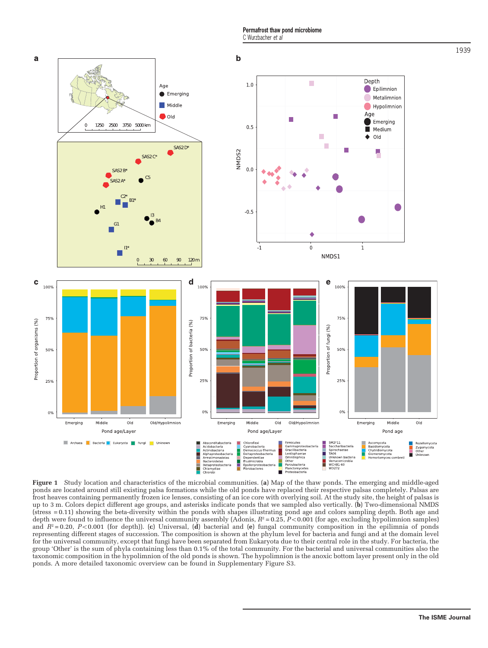Permafrost thaw pond microbiome C Wurzbacher et al

<span id="page-1-0"></span>

Figure 1 Study location and characteristics of the microbial communities. (a) Map of the thaw ponds. The emerging and middle-aged ponds are located around still existing palsa formations while the old ponds have replaced their respective palsas completely. Palsas are frost heaves containing permanently frozen ice lenses, consisting of an ice core with overlying soil. At the study site, the height of palsas is up to 3 m. Colors depict different age groups, and asterisks indicate ponds that we sampled also vertically. (b) Two-dimensional NMDS (stress = 0.11) showing the beta-diversity within the ponds with shapes illustrating pond age and colors sampling depth. Both age and depth were found to influence the universal community assembly (Adonis,  $R^2 = 0.25$ ,  $P < 0.001$  (for age, excluding hypolimnion samples) and  $R^2 = 0.20$ , P<0.001 (for depth)). (c) Universal, (d) bacterial and (e) fungal community composition in the epilimnia of ponds representing different stages of succession. The composition is shown at the phylum level for bacteria and fungi and at the domain level for the universal community, except that fungi have been separated from Eukaryota due to their central role in the study. For bacteria, the group 'Other' is the sum of phyla containing less than 0.1% of the total community. For the bacterial and universal communities also the taxonomic composition in the hypolimnion of the old ponds is shown. The hypolimnion is the anoxic bottom layer present only in the old ponds. A more detailed taxonomic overview can be found in Supplementary Figure S3.

1939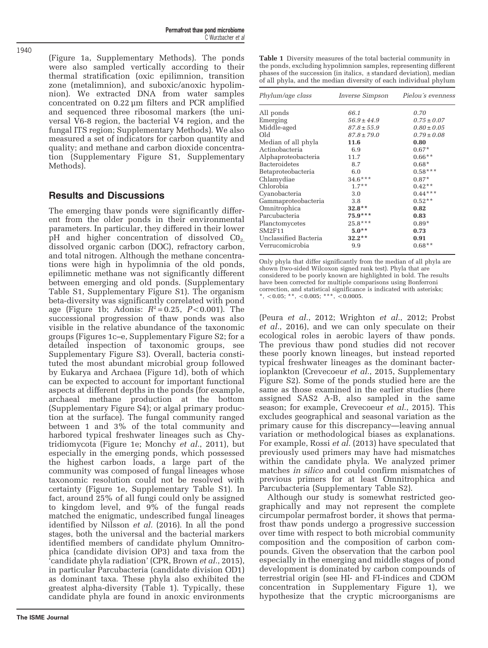Permafrost thaw pond microbiome C Wurzbacher et al

([Figure 1a,](#page-1-0) Supplementary Methods). The ponds were also sampled vertically according to their thermal stratification (oxic epilimnion, transition zone (metalimnion), and suboxic/anoxic hypolimnion). We extracted DNA from water samples concentrated on 0.22 μm filters and PCR amplified and sequenced three ribosomal markers (the universal V6-8 region, the bacterial V4 region, and the fungal ITS region; Supplementary Methods). We also measured a set of indicators for carbon quantity and quality; and methane and carbon dioxide concentration (Supplementary Figure S1, Supplementary Methods).

#### Results and Discussions

The emerging thaw ponds were significantly different from the older ponds in their environmental parameters. In particular, they differed in their lower  $pH$  and higher concentration of dissolved  $CO<sub>2</sub>$ , dissolved organic carbon (DOC), refractory carbon, and total nitrogen. Although the methane concentrations were high in hypolimnia of the old ponds, epilimnetic methane was not significantly different between emerging and old ponds. (Supplementary Table S1, Supplementary Figure S1). The organism beta-diversity was significantly correlated with pond age ([Figure 1b;](#page-1-0) Adonis:  $R^2 = 0.25$ ,  $P < 0.001$ ). The successional progression of thaw ponds was also visible in the relative abundance of the taxonomic groups ([Figures 1c](#page-1-0)–e, Supplementary Figure S2; for a detailed inspection of taxonomic groups, see Supplementary Figure S3). Overall, bacteria constituted the most abundant microbial group followed by Eukarya and Archaea ([Figure 1d](#page-1-0)), both of which can be expected to account for important functional aspects at different depths in the ponds (for example, archaeal methane production at the bottom (Supplementary Figure S4); or algal primary production at the surface). The fungal community ranged between 1 and 3% of the total community and harbored typical freshwater lineages such as Chytridiomycota ([Figure 1e;](#page-1-0) [Monchy](#page-3-0) et al., 2011), but especially in the emerging ponds, which possessed the highest carbon loads, a large part of the community was composed of fungal lineages whose taxonomic resolution could not be resolved with certainty ([Figure 1e,](#page-1-0) Supplementary Table S1). In fact, around 25% of all fungi could only be assigned to kingdom level, and 9% of the fungal reads matched the enigmatic, undescribed fungal lineages identified by [Nilsson](#page-3-0) et al. (2016). In all the pond stages, both the universal and the bacterial markers identified members of candidate phylum Omnitrophica (candidate division OP3) and taxa from the 'candidate phyla radiation' (CPR, [Brown](#page-3-0) et al., 2015), in particular Parcubacteria (candidate division OD1) as dominant taxa. These phyla also exhibited the greatest alpha-diversity (Table 1). Typically, these candidate phyla are found in anoxic environments

The ISME Journal

Table 1 Diversity measures of the total bacterial community in the ponds, excluding hypolimnion samples, representing different phases of the succession (in italics,  $\pm$  standard deviation), median of all phyla, and the median diversity of each individual phylum

| Phylum/age class      | <i>Inverse Simpson</i> | Pielou's evenness |
|-----------------------|------------------------|-------------------|
| All ponds             | 66.1                   | 0.70              |
| Emerging              | $56.9 \pm 44.9$        | $0.75 \pm 0.07$   |
| Middle-aged           | $87.8 \pm 55.9$        | $0.80 \pm 0.05$   |
| blO                   | $87.8 \pm 79.0$        | $0.79 \pm 0.08$   |
| Median of all phyla   | 11.6                   | 0.80              |
| Actinobacteria        | 6.9                    | $0.67*$           |
| Alphaproteobacteria   | 11.7                   | $0.66**$          |
| <b>Bacteroidetes</b>  | 8.7                    | $0.68*$           |
| Betaproteobacteria    | 6.0                    | $0.58***$         |
| Chlamydiae            | $34.6***$              | $0.87*$           |
| Chlorobia             | $1.7**$                | $0.42**$          |
| Cyanobacteria         | 3.0                    | $0.44***$         |
| Gammaproteobacteria   | 3.8                    | $0.52**$          |
| Omnitrophica          | $32.8**$               | 0.82              |
| Parcubacteria         | $75.9***$              | 0.83              |
| Planctomycetes        | $25.8***$              | $0.89*$           |
| <b>SM2F11</b>         | $5.0**$                | 0.73              |
| Unclassified Bacteria | $32.2**$               | 0.91              |
| Verrucomicrobia       | 9.9                    | $0.68**$          |

Only phyla that differ significantly from the median of all phyla are shown (two-sided Wilcoxon signed rank test). Phyla that are considered to be poorly known are highlighted in bold. The results have been corrected for multiple comparisons using Bonferroni correction, and statistical significance is indicated with asterisks; \*,  $< 0.05;$  \*\*,  $< 0.005;$  \*\*\*,  $< 0.0005$ .

(Peura et al.[, 2012; Wrighton](#page-3-0) et al., 2012; [Probst](#page-3-0) et al.[, 2016](#page-3-0)), and we can only speculate on their ecological roles in aerobic layers of thaw ponds. The previous thaw pond studies did not recover these poorly known lineages, but instead reported typical freshwater lineages as the dominant bacterioplankton ([Crevecoeur](#page-3-0) et al., 2015, Supplementary Figure S2). Some of the ponds studied here are the same as those examined in the earlier studies (here assigned SAS2 A-B, also sampled in the same season; for example, [Crevecoeur](#page-3-0) et al., 2015). This excludes geographical and seasonal variation as the primary cause for this discrepancy—leaving annual variation or methodological biases as explanations. For example, Rossi *et al.* [\(2013\)](#page-3-0) have speculated that previously used primers may have had mismatches within the candidate phyla. We analyzed primer matches in silico and could confirm mismatches of previous primers for at least Omnitrophica and Parcubacteria (Supplementary Table S2).

Although our study is somewhat restricted geographically and may not represent the complete circumpolar permafrost border, it shows that permafrost thaw ponds undergo a progressive succession over time with respect to both microbial community composition and the composition of carbon compounds. Given the observation that the carbon pool especially in the emerging and middle stages of pond development is dominated by carbon compounds of terrestrial origin (see HI- and FI-indices and CDOM concentration in Supplementary Figure 1), we hypothesize that the cryptic microorganisms are

1940